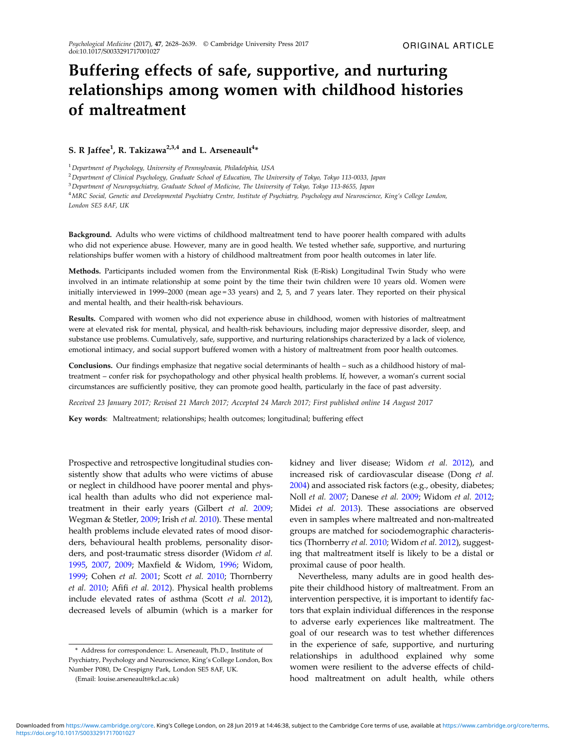# Buffering effects of safe, supportive, and nurturing relationships among women with childhood histories of maltreatment

# S. R Jaffee<sup>1</sup>, R. Takizawa<sup>2,3,4</sup> and L. Arseneault<sup>4</sup>\*

 $1$  Department of Psychology, University of Pennsylvania, Philadelphia, USA

<sup>2</sup> Department of Clinical Psychology, Graduate School of Education, The University of Tokyo, Tokyo 113-0033, Japan

<sup>3</sup>Department of Neuropsychiatry, Graduate School of Medicine, The University of Tokyo, Tokyo 113-8655, Japan

<sup>4</sup>MRC Social, Genetic and Developmental Psychiatry Centre, Institute of Psychiatry, Psychology and Neuroscience, King's College London, London SE5 8AF, UK

Background. Adults who were victims of childhood maltreatment tend to have poorer health compared with adults who did not experience abuse. However, many are in good health. We tested whether safe, supportive, and nurturing relationships buffer women with a history of childhood maltreatment from poor health outcomes in later life.

Methods. Participants included women from the Environmental Risk (E-Risk) Longitudinal Twin Study who were involved in an intimate relationship at some point by the time their twin children were 10 years old. Women were initially interviewed in 1999–2000 (mean age = 33 years) and 2, 5, and 7 years later. They reported on their physical and mental health, and their health-risk behaviours.

Results. Compared with women who did not experience abuse in childhood, women with histories of maltreatment were at elevated risk for mental, physical, and health-risk behaviours, including major depressive disorder, sleep, and substance use problems. Cumulatively, safe, supportive, and nurturing relationships characterized by a lack of violence, emotional intimacy, and social support buffered women with a history of maltreatment from poor health outcomes.

Conclusions. Our findings emphasize that negative social determinants of health – such as a childhood history of maltreatment – confer risk for psychopathology and other physical health problems. If, however, a woman's current social circumstances are sufficiently positive, they can promote good health, particularly in the face of past adversity.

Received 23 January 2017; Revised 21 March 2017; Accepted 24 March 2017; First published online 14 August 2017

Key words: Maltreatment; relationships; health outcomes; longitudinal; buffering effect

Prospective and retrospective longitudinal studies consistently show that adults who were victims of abuse or neglect in childhood have poorer mental and physical health than adults who did not experience maltreatment in their early years (Gilbert et al. [2009](#page-10-0); Wegman & Stetler, [2009](#page-11-0); Irish et al. [2010](#page-10-0)). These mental health problems include elevated rates of mood disorders, behavioural health problems, personality disorders, and post-traumatic stress disorder (Widom et al. [1995,](#page-11-0) [2007](#page-11-0), [2009](#page-11-0); Maxfield & Widom, [1996](#page-10-0); Widom, [1999;](#page-11-0) Cohen et al. [2001](#page-9-0); Scott et al. [2010](#page-10-0); Thornberry et al. [2010](#page-11-0); Afifi et al. [2012](#page-9-0)). Physical health problems include elevated rates of asthma (Scott et al. [2012](#page-10-0)), decreased levels of albumin (which is a marker for

kidney and liver disease; Widom et al. [2012](#page-11-0)), and increased risk of cardiovascular disease (Dong et al. [2004\)](#page-9-0) and associated risk factors (e.g., obesity, diabetes; Noll et al. [2007](#page-10-0); Danese et al. [2009;](#page-9-0) Widom et al. [2012](#page-11-0); Midei et al. [2013\)](#page-10-0). These associations are observed even in samples where maltreated and non-maltreated groups are matched for sociodemographic characteris-tics (Thornberry et al. [2010](#page-11-0); Widom et al. [2012\)](#page-11-0), suggesting that maltreatment itself is likely to be a distal or proximal cause of poor health.

Nevertheless, many adults are in good health despite their childhood history of maltreatment. From an intervention perspective, it is important to identify factors that explain individual differences in the response to adverse early experiences like maltreatment. The goal of our research was to test whether differences in the experience of safe, supportive, and nurturing relationships in adulthood explained why some women were resilient to the adverse effects of childhood maltreatment on adult health, while others

<sup>\*</sup> Address for correspondence: L. Arseneault, Ph.D., Institute of Psychiatry, Psychology and Neuroscience, King's College London, Box Number P080, De Crespigny Park, London SE5 8AF, UK.

<sup>(</sup>Email: [louise.arseneault@kcl.ac.uk](mailto:louise.arseneault@kcl.ac.uk))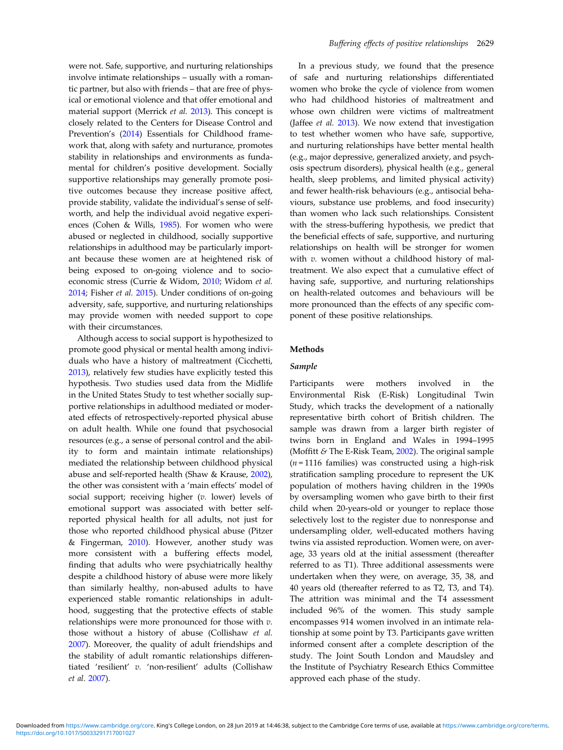were not. Safe, supportive, and nurturing relationships involve intimate relationships – usually with a romantic partner, but also with friends – that are free of physical or emotional violence and that offer emotional and material support (Merrick et al. [2013\)](#page-10-0). This concept is closely related to the Centers for Disease Control and Prevention's ([2014\)](#page-9-0) Essentials for Childhood framework that, along with safety and nurturance, promotes stability in relationships and environments as fundamental for children's positive development. Socially supportive relationships may generally promote positive outcomes because they increase positive affect, provide stability, validate the individual's sense of selfworth, and help the individual avoid negative experiences (Cohen & Wills, [1985\)](#page-9-0). For women who were abused or neglected in childhood, socially supportive relationships in adulthood may be particularly important because these women are at heightened risk of being exposed to on-going violence and to socioeconomic stress (Currie & Widom, [2010](#page-9-0); Widom et al. [2014;](#page-11-0) Fisher et al. [2015\)](#page-9-0). Under conditions of on-going adversity, safe, supportive, and nurturing relationships may provide women with needed support to cope with their circumstances.

Although access to social support is hypothesized to promote good physical or mental health among individuals who have a history of maltreatment (Cicchetti, [2013\)](#page-9-0), relatively few studies have explicitly tested this hypothesis. Two studies used data from the Midlife in the United States Study to test whether socially supportive relationships in adulthood mediated or moderated effects of retrospectively-reported physical abuse on adult health. While one found that psychosocial resources (e.g., a sense of personal control and the ability to form and maintain intimate relationships) mediated the relationship between childhood physical abuse and self-reported health (Shaw & Krause, [2002](#page-10-0)), the other was consistent with a 'main effects' model of social support; receiving higher (v. lower) levels of emotional support was associated with better selfreported physical health for all adults, not just for those who reported childhood physical abuse (Pitzer & Fingerman, [2010\)](#page-10-0). However, another study was more consistent with a buffering effects model, finding that adults who were psychiatrically healthy despite a childhood history of abuse were more likely than similarly healthy, non-abused adults to have experienced stable romantic relationships in adulthood, suggesting that the protective effects of stable relationships were more pronounced for those with v. those without a history of abuse (Collishaw et al. [2007\)](#page-9-0). Moreover, the quality of adult friendships and the stability of adult romantic relationships differentiated 'resilient' v. 'non-resilient' adults (Collishaw et al. [2007\)](#page-9-0).

In a previous study, we found that the presence of safe and nurturing relationships differentiated women who broke the cycle of violence from women who had childhood histories of maltreatment and whose own children were victims of maltreatment (Jaffee et al. [2013](#page-10-0)). We now extend that investigation to test whether women who have safe, supportive, and nurturing relationships have better mental health (e.g., major depressive, generalized anxiety, and psychosis spectrum disorders), physical health (e.g., general health, sleep problems, and limited physical activity) and fewer health-risk behaviours (e.g., antisocial behaviours, substance use problems, and food insecurity) than women who lack such relationships. Consistent with the stress-buffering hypothesis, we predict that the beneficial effects of safe, supportive, and nurturing relationships on health will be stronger for women with  $v$ . women without a childhood history of maltreatment. We also expect that a cumulative effect of having safe, supportive, and nurturing relationships on health-related outcomes and behaviours will be more pronounced than the effects of any specific component of these positive relationships.

#### Methods

#### Sample

Participants were mothers involved in the Environmental Risk (E-Risk) Longitudinal Twin Study, which tracks the development of a nationally representative birth cohort of British children. The sample was drawn from a larger birth register of twins born in England and Wales in 1994–1995 (Moffitt  $\&$  The E-Risk Team, [2002](#page-10-0)). The original sample  $(n = 1116$  families) was constructed using a high-risk stratification sampling procedure to represent the UK population of mothers having children in the 1990s by oversampling women who gave birth to their first child when 20-years-old or younger to replace those selectively lost to the register due to nonresponse and undersampling older, well-educated mothers having twins via assisted reproduction. Women were, on average, 33 years old at the initial assessment (thereafter referred to as T1). Three additional assessments were undertaken when they were, on average, 35, 38, and 40 years old (thereafter referred to as T2, T3, and T4). The attrition was minimal and the T4 assessment included 96% of the women. This study sample encompasses 914 women involved in an intimate relationship at some point by T3. Participants gave written informed consent after a complete description of the study. The Joint South London and Maudsley and the Institute of Psychiatry Research Ethics Committee approved each phase of the study.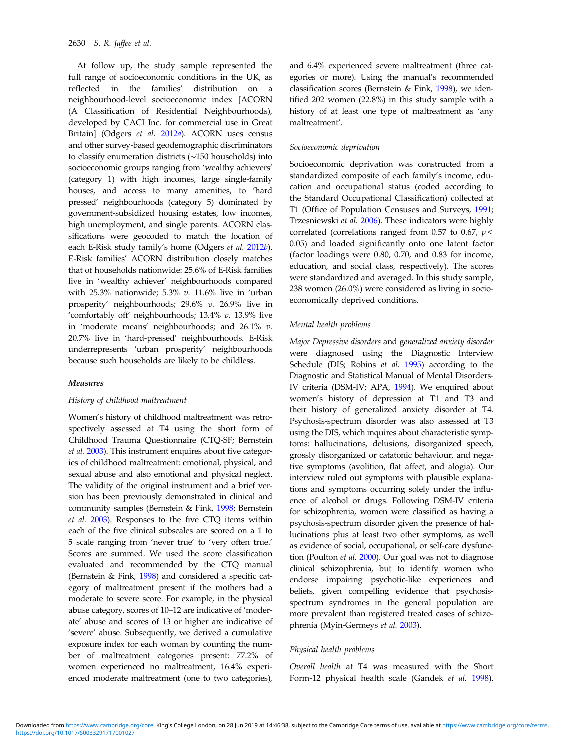At follow up, the study sample represented the full range of socioeconomic conditions in the UK, as reflected in the families' distribution on a neighbourhood-level socioeconomic index [ACORN (A Classification of Residential Neighbourhoods), developed by CACI Inc. for commercial use in Great Britain] (Odgers et al. [2012](#page-10-0)a). ACORN uses census and other survey-based geodemographic discriminators to classify enumeration districts (∼150 households) into socioeconomic groups ranging from 'wealthy achievers' (category 1) with high incomes, large single-family houses, and access to many amenities, to 'hard pressed' neighbourhoods (category 5) dominated by government-subsidized housing estates, low incomes, high unemployment, and single parents. ACORN classifications were geocoded to match the location of each E-Risk study family's home (Odgers et al. [2012](#page-10-0)b). E-Risk families' ACORN distribution closely matches that of households nationwide: 25.6% of E-Risk families live in 'wealthy achiever' neighbourhoods compared with 25.3% nationwide; 5.3% v. 11.6% live in 'urban prosperity' neighbourhoods; 29.6% v. 26.9% live in 'comfortably off' neighbourhoods; 13.4% v. 13.9% live in 'moderate means' neighbourhoods; and 26.1% v. 20.7% live in 'hard-pressed' neighbourhoods. E-Risk underrepresents 'urban prosperity' neighbourhoods because such households are likely to be childless.

#### Measures

## History of childhood maltreatment

Women's history of childhood maltreatment was retrospectively assessed at T4 using the short form of Childhood Trauma Questionnaire (CTQ-SF; Bernstein et al. [2003\)](#page-9-0). This instrument enquires about five categories of childhood maltreatment: emotional, physical, and sexual abuse and also emotional and physical neglect. The validity of the original instrument and a brief version has been previously demonstrated in clinical and community samples (Bernstein & Fink, [1998](#page-9-0); Bernstein et al. [2003\)](#page-9-0). Responses to the five CTQ items within each of the five clinical subscales are scored on a 1 to 5 scale ranging from 'never true' to 'very often true.' Scores are summed. We used the score classification evaluated and recommended by the CTQ manual (Bernstein & Fink, [1998](#page-9-0)) and considered a specific category of maltreatment present if the mothers had a moderate to severe score. For example, in the physical abuse category, scores of 10–12 are indicative of 'moderate' abuse and scores of 13 or higher are indicative of 'severe' abuse. Subsequently, we derived a cumulative exposure index for each woman by counting the number of maltreatment categories present: 77.2% of women experienced no maltreatment, 16.4% experienced moderate maltreatment (one to two categories),

and 6.4% experienced severe maltreatment (three categories or more). Using the manual's recommended classification scores (Bernstein & Fink, [1998](#page-9-0)), we identified 202 women (22.8%) in this study sample with a history of at least one type of maltreatment as 'any maltreatment'.

## Socioeconomic deprivation

Socioeconomic deprivation was constructed from a standardized composite of each family's income, education and occupational status (coded according to the Standard Occupational Classification) collected at T1 (Office of Population Censuses and Surveys, [1991](#page-10-0); Trzesniewski et al. [2006\)](#page-11-0). These indicators were highly correlated (correlations ranged from 0.57 to 0.67,  $p <$ 0.05) and loaded significantly onto one latent factor (factor loadings were 0.80, 0.70, and 0.83 for income, education, and social class, respectively). The scores were standardized and averaged. In this study sample, 238 women (26.0%) were considered as living in socioeconomically deprived conditions.

#### Mental health problems

Major Depressive disorders and generalized anxiety disorder were diagnosed using the Diagnostic Interview Schedule (DIS; Robins et al. [1995](#page-10-0)) according to the Diagnostic and Statistical Manual of Mental Disorders-IV criteria (DSM-IV; APA, [1994](#page-9-0)). We enquired about women's history of depression at T1 and T3 and their history of generalized anxiety disorder at T4. Psychosis-spectrum disorder was also assessed at T3 using the DIS, which inquires about characteristic symptoms: hallucinations, delusions, disorganized speech, grossly disorganized or catatonic behaviour, and negative symptoms (avolition, flat affect, and alogia). Our interview ruled out symptoms with plausible explanations and symptoms occurring solely under the influence of alcohol or drugs. Following DSM-IV criteria for schizophrenia, women were classified as having a psychosis-spectrum disorder given the presence of hallucinations plus at least two other symptoms, as well as evidence of social, occupational, or self-care dysfunction (Poulton et al. [2000](#page-10-0)). Our goal was not to diagnose clinical schizophrenia, but to identify women who endorse impairing psychotic-like experiences and beliefs, given compelling evidence that psychosisspectrum syndromes in the general population are more prevalent than registered treated cases of schizophrenia (Myin-Germeys et al. [2003](#page-10-0)).

#### Physical health problems

Overall health at T4 was measured with the Short Form-12 physical health scale (Gandek et al. [1998](#page-9-0)).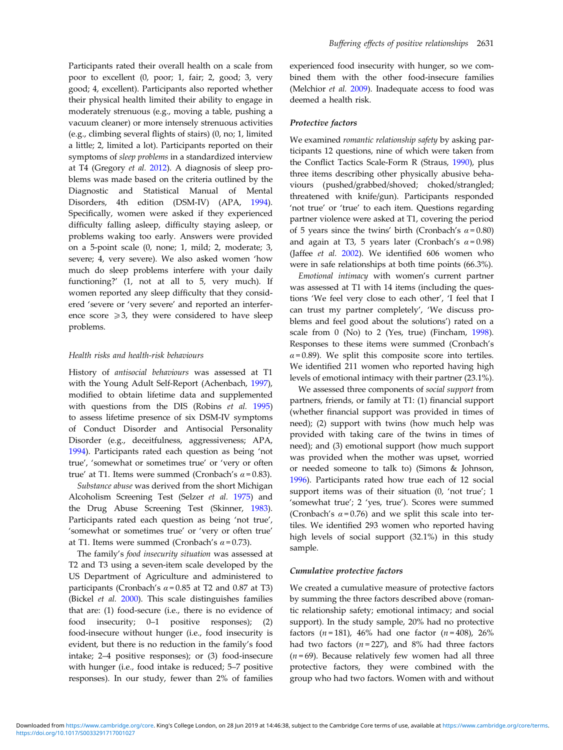Participants rated their overall health on a scale from poor to excellent (0, poor; 1, fair; 2, good; 3, very good; 4, excellent). Participants also reported whether their physical health limited their ability to engage in moderately strenuous (e.g., moving a table, pushing a vacuum cleaner) or more intensely strenuous activities (e.g., climbing several flights of stairs) (0, no; 1, limited a little; 2, limited a lot). Participants reported on their symptoms of sleep problems in a standardized interview at T4 (Gregory et al. [2012\)](#page-10-0). A diagnosis of sleep problems was made based on the criteria outlined by the Diagnostic and Statistical Manual of Mental Disorders, 4th edition (DSM-IV) (APA, [1994](#page-9-0)). Specifically, women were asked if they experienced difficulty falling asleep, difficulty staying asleep, or problems waking too early. Answers were provided on a 5-point scale (0, none; 1, mild; 2, moderate; 3, severe; 4, very severe). We also asked women 'how much do sleep problems interfere with your daily functioning?' (1, not at all to 5, very much). If women reported any sleep difficulty that they considered 'severe or 'very severe' and reported an interference score  $\geq 3$ , they were considered to have sleep problems.

#### Health risks and health-risk behaviours

History of antisocial behaviours was assessed at T1 with the Young Adult Self-Report (Achenbach, [1997](#page-9-0)), modified to obtain lifetime data and supplemented with questions from the DIS (Robins et al. [1995\)](#page-10-0) to assess lifetime presence of six DSM-IV symptoms of Conduct Disorder and Antisocial Personality Disorder (e.g., deceitfulness, aggressiveness; APA, [1994\)](#page-9-0). Participants rated each question as being 'not true', 'somewhat or sometimes true' or 'very or often true' at T1. Items were summed (Cronbach's  $\alpha$  = 0.83).

Substance abuse was derived from the short Michigan Alcoholism Screening Test (Selzer et al. [1975](#page-10-0)) and the Drug Abuse Screening Test (Skinner, [1983](#page-10-0)). Participants rated each question as being 'not true', 'somewhat or sometimes true' or 'very or often true' at T1. Items were summed (Cronbach's  $\alpha$  = 0.73).

The family's food insecurity situation was assessed at T2 and T3 using a seven-item scale developed by the US Department of Agriculture and administered to participants (Cronbach's  $\alpha$  = 0.85 at T2 and 0.87 at T3) (Bickel et al. [2000](#page-9-0)). This scale distinguishes families that are: (1) food-secure (i.e., there is no evidence of food insecurity; 0–1 positive responses); (2) food-insecure without hunger (i.e., food insecurity is evident, but there is no reduction in the family's food intake; 2–4 positive responses); or (3) food-insecure with hunger (i.e., food intake is reduced; 5–7 positive responses). In our study, fewer than 2% of families experienced food insecurity with hunger, so we combined them with the other food-insecure families (Melchior et al. [2009\)](#page-10-0). Inadequate access to food was deemed a health risk.

#### Protective factors

We examined romantic relationship safety by asking participants 12 questions, nine of which were taken from the Conflict Tactics Scale-Form R (Straus, [1990\)](#page-11-0), plus three items describing other physically abusive behaviours (pushed/grabbed/shoved; choked/strangled; threatened with knife/gun). Participants responded 'not true' or 'true' to each item. Questions regarding partner violence were asked at T1, covering the period of 5 years since the twins' birth (Cronbach's  $\alpha$ =0.80) and again at T3, 5 years later (Cronbach's  $\alpha = 0.98$ ) (Jaffee et al. [2002\)](#page-10-0). We identified 606 women who were in safe relationships at both time points (66.3%).

Emotional intimacy with women's current partner was assessed at T1 with 14 items (including the questions 'We feel very close to each other', 'I feel that I can trust my partner completely', 'We discuss problems and feel good about the solutions') rated on a scale from 0 (No) to 2 (Yes, true) (Fincham, [1998](#page-9-0)). Responses to these items were summed (Cronbach's  $\alpha$ =0.89). We split this composite score into tertiles. We identified 211 women who reported having high levels of emotional intimacy with their partner (23.1%).

We assessed three components of social support from partners, friends, or family at T1: (1) financial support (whether financial support was provided in times of need); (2) support with twins (how much help was provided with taking care of the twins in times of need); and (3) emotional support (how much support was provided when the mother was upset, worried or needed someone to talk to) (Simons & Johnson, [1996\)](#page-10-0). Participants rated how true each of 12 social support items was of their situation (0, 'not true'; 1 'somewhat true'; 2 'yes, true'). Scores were summed (Cronbach's  $\alpha$  = 0.76) and we split this scale into tertiles. We identified 293 women who reported having high levels of social support (32.1%) in this study sample.

## Cumulative protective factors

We created a cumulative measure of protective factors by summing the three factors described above (romantic relationship safety; emotional intimacy; and social support). In the study sample, 20% had no protective factors ( $n = 181$ ), 46% had one factor ( $n = 408$ ), 26% had two factors ( $n = 227$ ), and 8% had three factors  $(n=69)$ . Because relatively few women had all three protective factors, they were combined with the group who had two factors. Women with and without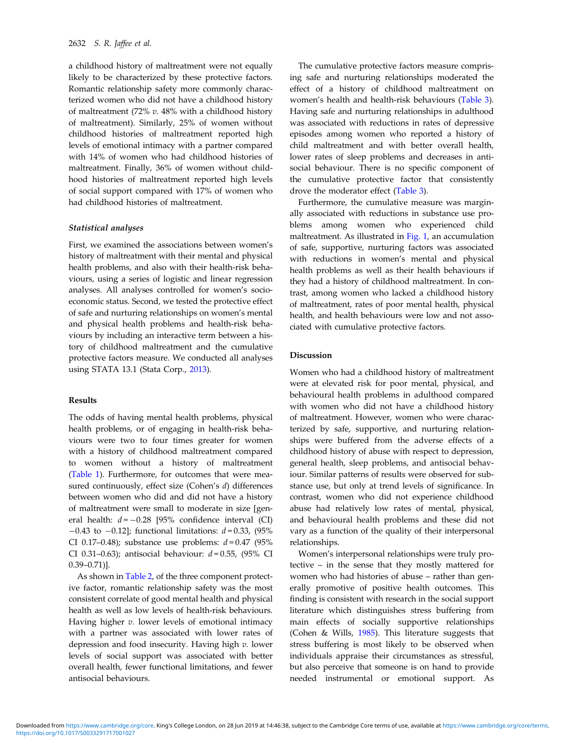a childhood history of maltreatment were not equally likely to be characterized by these protective factors. Romantic relationship safety more commonly characterized women who did not have a childhood history of maltreatment (72% v. 48% with a childhood history of maltreatment). Similarly, 25% of women without childhood histories of maltreatment reported high levels of emotional intimacy with a partner compared with 14% of women who had childhood histories of maltreatment. Finally, 36% of women without childhood histories of maltreatment reported high levels of social support compared with 17% of women who had childhood histories of maltreatment.

## Statistical analyses

First, we examined the associations between women's history of maltreatment with their mental and physical health problems, and also with their health-risk behaviours, using a series of logistic and linear regression analyses. All analyses controlled for women's socioeconomic status. Second, we tested the protective effect of safe and nurturing relationships on women's mental and physical health problems and health-risk behaviours by including an interactive term between a history of childhood maltreatment and the cumulative protective factors measure. We conducted all analyses using STATA 13.1 (Stata Corp., [2013\)](#page-10-0).

## Results

The odds of having mental health problems, physical health problems, or of engaging in health-risk behaviours were two to four times greater for women with a history of childhood maltreatment compared to women without a history of maltreatment ([Table 1](#page-5-0)). Furthermore, for outcomes that were measured continuously, effect size (Cohen's d) differences between women who did and did not have a history of maltreatment were small to moderate in size [general health:  $d = -0.28$  [95% confidence interval (CI) −0.43 to −0.12]; functional limitations:  $d = 0.33$ , (95% CI 0.17-0.48); substance use problems:  $d = 0.47$  (95%) CI 0.31-0.63); antisocial behaviour:  $d = 0.55$ , (95% CI  $0.39 - 0.71$ ].

As shown in [Table 2,](#page-5-0) of the three component protective factor, romantic relationship safety was the most consistent correlate of good mental health and physical health as well as low levels of health-risk behaviours. Having higher  $v$ . lower levels of emotional intimacy with a partner was associated with lower rates of depression and food insecurity. Having high  $v$ . lower levels of social support was associated with better overall health, fewer functional limitations, and fewer antisocial behaviours.

The cumulative protective factors measure comprising safe and nurturing relationships moderated the effect of a history of childhood maltreatment on women's health and health-risk behaviours ([Table 3](#page-6-0)). Having safe and nurturing relationships in adulthood was associated with reductions in rates of depressive episodes among women who reported a history of child maltreatment and with better overall health, lower rates of sleep problems and decreases in antisocial behaviour. There is no specific component of the cumulative protective factor that consistently drove the moderator effect [\(Table 3](#page-6-0)).

Furthermore, the cumulative measure was marginally associated with reductions in substance use problems among women who experienced child maltreatment. As illustrated in [Fig. 1](#page-7-0), an accumulation of safe, supportive, nurturing factors was associated with reductions in women's mental and physical health problems as well as their health behaviours if they had a history of childhood maltreatment. In contrast, among women who lacked a childhood history of maltreatment, rates of poor mental health, physical health, and health behaviours were low and not associated with cumulative protective factors.

## Discussion

Women who had a childhood history of maltreatment were at elevated risk for poor mental, physical, and behavioural health problems in adulthood compared with women who did not have a childhood history of maltreatment. However, women who were characterized by safe, supportive, and nurturing relationships were buffered from the adverse effects of a childhood history of abuse with respect to depression, general health, sleep problems, and antisocial behaviour. Similar patterns of results were observed for substance use, but only at trend levels of significance. In contrast, women who did not experience childhood abuse had relatively low rates of mental, physical, and behavioural health problems and these did not vary as a function of the quality of their interpersonal relationships.

Women's interpersonal relationships were truly protective – in the sense that they mostly mattered for women who had histories of abuse – rather than generally promotive of positive health outcomes. This finding is consistent with research in the social support literature which distinguishes stress buffering from main effects of socially supportive relationships (Cohen & Wills, [1985\)](#page-9-0). This literature suggests that stress buffering is most likely to be observed when individuals appraise their circumstances as stressful, but also perceive that someone is on hand to provide needed instrumental or emotional support. As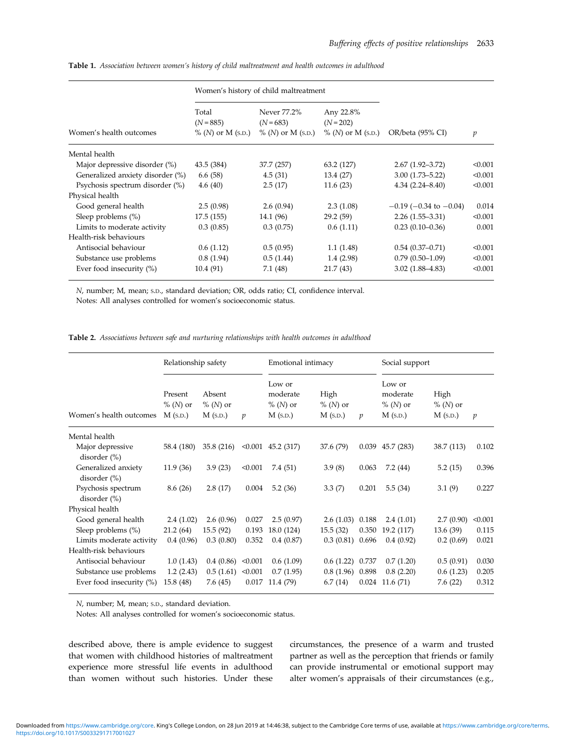|                                  |                                              | Women's history of child maltreatment              |                                                  |                                |         |
|----------------------------------|----------------------------------------------|----------------------------------------------------|--------------------------------------------------|--------------------------------|---------|
| Women's health outcomes          | Total<br>$(N = 885)$<br>$\%$ (N) or M (s.p.) | Never 77.2%<br>$(N = 683)$<br>$\%$ (N) or M (s.p.) | Any 22.8%<br>$(N = 202)$<br>$\%$ (N) or M (s.p.) | OR/beta (95% CI)               | p       |
| Mental health                    |                                              |                                                    |                                                  |                                |         |
| Major depressive disorder (%)    | 43.5 (384)                                   | 37.7 (257)                                         | 63.2 (127)                                       | $2.67(1.92 - 3.72)$            | < 0.001 |
| Generalized anxiety disorder (%) | 6.6(58)                                      | 4.5(31)                                            | 13.4(27)                                         | $3.00(1.73 - 5.22)$            | < 0.001 |
| Psychosis spectrum disorder (%)  | 4.6(40)                                      | 2.5(17)                                            | 11.6(23)                                         | $4.34(2.24 - 8.40)$            | < 0.001 |
| Physical health                  |                                              |                                                    |                                                  |                                |         |
| Good general health              | 2.5(0.98)                                    | 2.6(0.94)                                          | 2.3(1.08)                                        | $-0.19$ ( $-0.34$ to $-0.04$ ) | 0.014   |
| Sleep problems $(\%)$            | 17.5(155)                                    | 14.1 (96)                                          | 29.2(59)                                         | $2.26(1.55-3.31)$              | < 0.001 |
| Limits to moderate activity      | 0.3(0.85)                                    | 0.3(0.75)                                          | 0.6(1.11)                                        | $0.23(0.10-0.36)$              | 0.001   |
| Health-risk behaviours           |                                              |                                                    |                                                  |                                |         |
| Antisocial behaviour             | 0.6(1.12)                                    | 0.5(0.95)                                          | 1.1(1.48)                                        | $0.54(0.37-0.71)$              | < 0.001 |
| Substance use problems           | 0.8(1.94)                                    | 0.5(1.44)                                          | 1.4(2.98)                                        | $0.79(0.50-1.09)$              | < 0.001 |
| Ever food insecurity $(\%)$      | 10.4(91)                                     | 7.1 (48)                                           | 21.7(43)                                         | $3.02(1.88 - 4.83)$            | < 0.001 |

<span id="page-5-0"></span>Table 1. Association between women's history of child maltreatment and health outcomes in adulthood

N, number; M, mean; S.D., standard deviation; OR, odds ratio; CI, confidence interval.

Notes: All analyses controlled for women's socioeconomic status.

Table 2. Associations between safe and nurturing relationships with health outcomes in adulthood

|                                        | Relationship safety                 |                                    |               | Emotional intimacy                             |                                  |               | Social support                                 |                                  |                |
|----------------------------------------|-------------------------------------|------------------------------------|---------------|------------------------------------------------|----------------------------------|---------------|------------------------------------------------|----------------------------------|----------------|
| Women's health outcomes                | Present<br>$% (N)$ or<br>$M$ (s.p.) | Absent<br>$% (N)$ or<br>$M$ (s.p.) | $\mathcal{V}$ | Low or<br>moderate<br>$% (N)$ or<br>$M$ (s.d.) | High<br>$% (N)$ or<br>$M$ (s.p.) | $\mathcal{V}$ | Low or<br>moderate<br>$% (N)$ or<br>$M$ (s.p.) | High<br>$% (N)$ or<br>$M$ (s.p.) | $\mathfrak{p}$ |
| Mental health                          |                                     |                                    |               |                                                |                                  |               |                                                |                                  |                |
| Major depressive<br>disorder $(\% )$   | 58.4 (180)                          | 35.8(216)                          |               | $\leq 0.001$ 45.2 (317)                        | 37.6 (79)                        | 0.039         | 45.7 (283)                                     | 38.7 (113)                       | 0.102          |
| Generalized anxiety<br>disorder (%)    | 11.9(36)                            | 3.9(23)                            | < 0.001       | 7.4 (51)                                       | 3.9(8)                           | 0.063         | 7.2(44)                                        | 5.2(15)                          | 0.396          |
| Psychosis spectrum<br>disorder $(\% )$ | 8.6(26)                             | 2.8(17)                            | 0.004         | 5.2(36)                                        | 3.3(7)                           | 0.201         | 5.5(34)                                        | 3.1(9)                           | 0.227          |
| Physical health                        |                                     |                                    |               |                                                |                                  |               |                                                |                                  |                |
| Good general health                    | 2.4(1.02)                           | 2.6(0.96)                          | 0.027         | 2.5(0.97)                                      | $2.6(1.03)$ 0.188                |               | 2.4(1.01)                                      | 2.7(0.90)                        | < 0.001        |
| Sleep problems (%)                     | 21.2(64)                            | 15.5(92)                           | 0.193         | 18.0 (124)                                     | 15.5(32)                         | 0.350         | 19.2 (117)                                     | 13.6 (39)                        | 0.115          |
| Limits moderate activity               | 0.4(0.96)                           | 0.3(0.80)                          | 0.352         | 0.4(0.87)                                      | $0.3(0.81)$ 0.696                |               | 0.4(0.92)                                      | 0.2(0.69)                        | 0.021          |
| Health-risk behaviours                 |                                     |                                    |               |                                                |                                  |               |                                                |                                  |                |
| Antisocial behaviour                   | 1.0(1.43)                           | 0.4(0.86)                          | < 0.001       | 0.6(1.09)                                      | $0.6(1.22)$ 0.737                |               | 0.7(1.20)                                      | 0.5(0.91)                        | 0.030          |
| Substance use problems                 | 1.2(2.43)                           | 0.5(1.61)                          | < 0.001       | 0.7(1.95)                                      | $0.8(1.96)$ 0.898                |               | 0.8(2.20)                                      | 0.6(1.23)                        | 0.205          |
| Ever food insecurity $(\%)$            | 15.8(48)                            | 7.6(45)                            | 0.017         | 11.4 (79)                                      | 6.7(14)                          | 0.024         | 11.6(71)                                       | 7.6(22)                          | 0.312          |

N, number; M, mean; S.D., standard deviation.

Notes: All analyses controlled for women's socioeconomic status.

described above, there is ample evidence to suggest that women with childhood histories of maltreatment experience more stressful life events in adulthood than women without such histories. Under these circumstances, the presence of a warm and trusted partner as well as the perception that friends or family can provide instrumental or emotional support may alter women's appraisals of their circumstances (e.g.,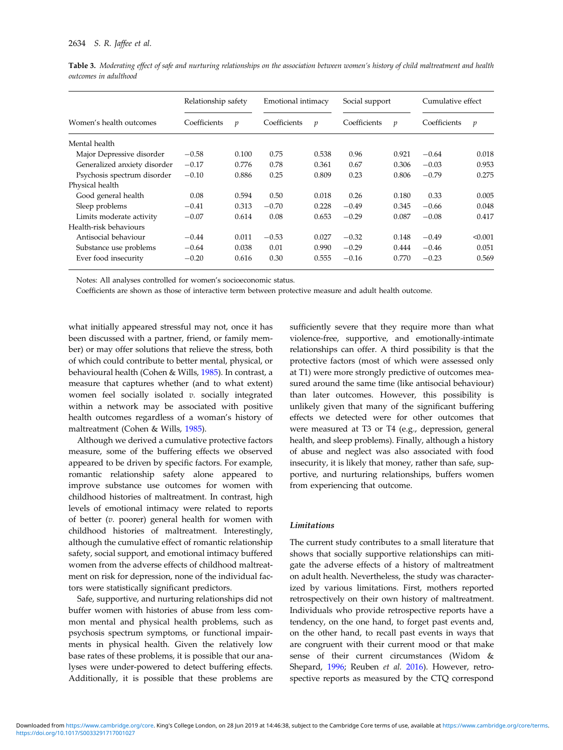<span id="page-6-0"></span>Table 3. Moderating effect of safe and nurturing relationships on the association between women's history of child maltreatment and health outcomes in adulthood

| Women's health outcomes      | Relationship safety |               | Emotional intimacy |               | Social support |               | Cumulative effect |                |
|------------------------------|---------------------|---------------|--------------------|---------------|----------------|---------------|-------------------|----------------|
|                              | Coefficients        | $\mathcal{D}$ | Coefficients       | $\mathcal{p}$ | Coefficients   | $\mathcal{V}$ | Coefficients      | $\mathfrak{p}$ |
| Mental health                |                     |               |                    |               |                |               |                   |                |
| Major Depressive disorder    | $-0.58$             | 0.100         | 0.75               | 0.538         | 0.96           | 0.921         | $-0.64$           | 0.018          |
| Generalized anxiety disorder | $-0.17$             | 0.776         | 0.78               | 0.361         | 0.67           | 0.306         | $-0.03$           | 0.953          |
| Psychosis spectrum disorder  | $-0.10$             | 0.886         | 0.25               | 0.809         | 0.23           | 0.806         | $-0.79$           | 0.275          |
| Physical health              |                     |               |                    |               |                |               |                   |                |
| Good general health          | 0.08                | 0.594         | 0.50               | 0.018         | 0.26           | 0.180         | 0.33              | 0.005          |
| Sleep problems               | $-0.41$             | 0.313         | $-0.70$            | 0.228         | $-0.49$        | 0.345         | $-0.66$           | 0.048          |
| Limits moderate activity     | $-0.07$             | 0.614         | 0.08               | 0.653         | $-0.29$        | 0.087         | $-0.08$           | 0.417          |
| Health-risk behaviours       |                     |               |                    |               |                |               |                   |                |
| Antisocial behaviour         | $-0.44$             | 0.011         | $-0.53$            | 0.027         | $-0.32$        | 0.148         | $-0.49$           | < 0.001        |
| Substance use problems       | $-0.64$             | 0.038         | 0.01               | 0.990         | $-0.29$        | 0.444         | $-0.46$           | 0.051          |
| Ever food insecurity         | $-0.20$             | 0.616         | 0.30               | 0.555         | $-0.16$        | 0.770         | $-0.23$           | 0.569          |

Notes: All analyses controlled for women's socioeconomic status.

Coefficients are shown as those of interactive term between protective measure and adult health outcome.

what initially appeared stressful may not, once it has been discussed with a partner, friend, or family member) or may offer solutions that relieve the stress, both of which could contribute to better mental, physical, or behavioural health (Cohen & Wills, [1985\)](#page-9-0). In contrast, a measure that captures whether (and to what extent) women feel socially isolated  $v$ . socially integrated within a network may be associated with positive health outcomes regardless of a woman's history of maltreatment (Cohen & Wills, [1985\)](#page-9-0).

Although we derived a cumulative protective factors measure, some of the buffering effects we observed appeared to be driven by specific factors. For example, romantic relationship safety alone appeared to improve substance use outcomes for women with childhood histories of maltreatment. In contrast, high levels of emotional intimacy were related to reports of better (v. poorer) general health for women with childhood histories of maltreatment. Interestingly, although the cumulative effect of romantic relationship safety, social support, and emotional intimacy buffered women from the adverse effects of childhood maltreatment on risk for depression, none of the individual factors were statistically significant predictors.

Safe, supportive, and nurturing relationships did not buffer women with histories of abuse from less common mental and physical health problems, such as psychosis spectrum symptoms, or functional impairments in physical health. Given the relatively low base rates of these problems, it is possible that our analyses were under-powered to detect buffering effects. Additionally, it is possible that these problems are sufficiently severe that they require more than what violence-free, supportive, and emotionally-intimate relationships can offer. A third possibility is that the protective factors (most of which were assessed only at T1) were more strongly predictive of outcomes measured around the same time (like antisocial behaviour) than later outcomes. However, this possibility is unlikely given that many of the significant buffering effects we detected were for other outcomes that were measured at T3 or T4 (e.g., depression, general health, and sleep problems). Finally, although a history of abuse and neglect was also associated with food insecurity, it is likely that money, rather than safe, supportive, and nurturing relationships, buffers women from experiencing that outcome.

## Limitations

The current study contributes to a small literature that shows that socially supportive relationships can mitigate the adverse effects of a history of maltreatment on adult health. Nevertheless, the study was characterized by various limitations. First, mothers reported retrospectively on their own history of maltreatment. Individuals who provide retrospective reports have a tendency, on the one hand, to forget past events and, on the other hand, to recall past events in ways that are congruent with their current mood or that make sense of their current circumstances (Widom & Shepard, [1996](#page-11-0); Reuben et al. [2016\)](#page-10-0). However, retrospective reports as measured by the CTQ correspond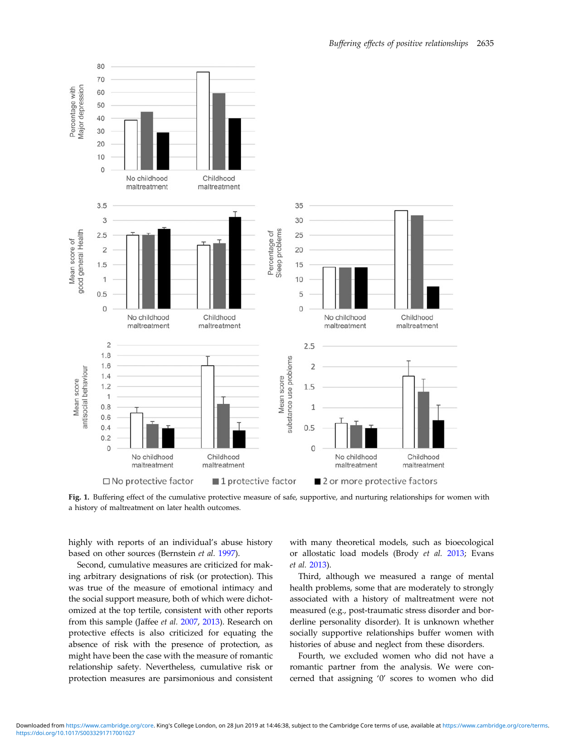<span id="page-7-0"></span>

Fig. 1. Buffering effect of the cumulative protective measure of safe, supportive, and nurturing relationships for women with a history of maltreatment on later health outcomes.

highly with reports of an individual's abuse history based on other sources (Bernstein et al. [1997\)](#page-9-0).

Second, cumulative measures are criticized for making arbitrary designations of risk (or protection). This was true of the measure of emotional intimacy and the social support measure, both of which were dichotomized at the top tertile, consistent with other reports from this sample (Jaffee et al. [2007](#page-10-0), [2013](#page-10-0)). Research on protective effects is also criticized for equating the absence of risk with the presence of protection, as might have been the case with the measure of romantic relationship safety. Nevertheless, cumulative risk or protection measures are parsimonious and consistent

with many theoretical models, such as bioecological or allostatic load models (Brody et al. [2013](#page-9-0); Evans et al. [2013\)](#page-9-0).

Third, although we measured a range of mental health problems, some that are moderately to strongly associated with a history of maltreatment were not measured (e.g., post-traumatic stress disorder and borderline personality disorder). It is unknown whether socially supportive relationships buffer women with histories of abuse and neglect from these disorders.

Fourth, we excluded women who did not have a romantic partner from the analysis. We were concerned that assigning '0' scores to women who did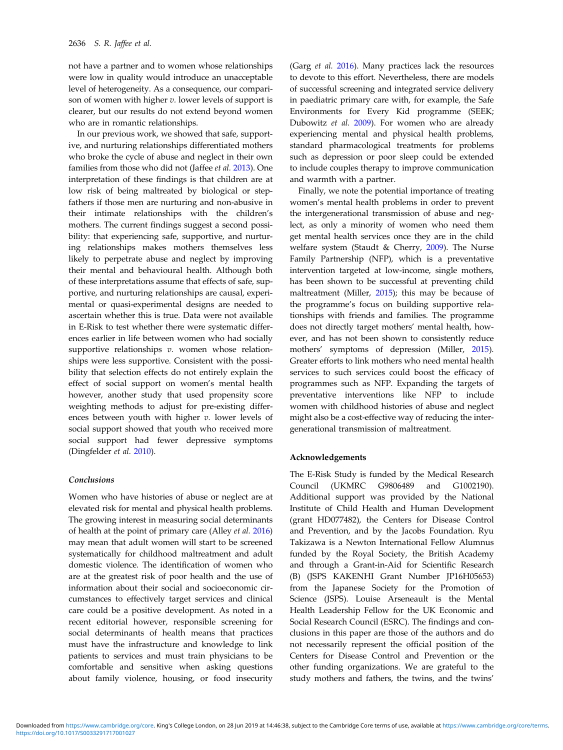not have a partner and to women whose relationships were low in quality would introduce an unacceptable level of heterogeneity. As a consequence, our comparison of women with higher  $v$ . lower levels of support is clearer, but our results do not extend beyond women who are in romantic relationships.

In our previous work, we showed that safe, supportive, and nurturing relationships differentiated mothers who broke the cycle of abuse and neglect in their own families from those who did not (Jaffee et al. [2013\)](#page-10-0). One interpretation of these findings is that children are at low risk of being maltreated by biological or stepfathers if those men are nurturing and non-abusive in their intimate relationships with the children's mothers. The current findings suggest a second possibility: that experiencing safe, supportive, and nurturing relationships makes mothers themselves less likely to perpetrate abuse and neglect by improving their mental and behavioural health. Although both of these interpretations assume that effects of safe, supportive, and nurturing relationships are causal, experimental or quasi-experimental designs are needed to ascertain whether this is true. Data were not available in E-Risk to test whether there were systematic differences earlier in life between women who had socially supportive relationships  $v$ . women whose relationships were less supportive. Consistent with the possibility that selection effects do not entirely explain the effect of social support on women's mental health however, another study that used propensity score weighting methods to adjust for pre-existing differences between youth with higher  $v$ . lower levels of social support showed that youth who received more social support had fewer depressive symptoms (Dingfelder et al. [2010\)](#page-9-0).

## Conclusions

Women who have histories of abuse or neglect are at elevated risk for mental and physical health problems. The growing interest in measuring social determinants of health at the point of primary care (Alley et al. [2016\)](#page-9-0) may mean that adult women will start to be screened systematically for childhood maltreatment and adult domestic violence. The identification of women who are at the greatest risk of poor health and the use of information about their social and socioeconomic circumstances to effectively target services and clinical care could be a positive development. As noted in a recent editorial however, responsible screening for social determinants of health means that practices must have the infrastructure and knowledge to link patients to services and must train physicians to be comfortable and sensitive when asking questions about family violence, housing, or food insecurity (Garg et al. [2016\)](#page-10-0). Many practices lack the resources to devote to this effort. Nevertheless, there are models of successful screening and integrated service delivery in paediatric primary care with, for example, the Safe Environments for Every Kid programme (SEEK; Dubowitz et al. [2009\)](#page-9-0). For women who are already experiencing mental and physical health problems, standard pharmacological treatments for problems such as depression or poor sleep could be extended to include couples therapy to improve communication and warmth with a partner.

Finally, we note the potential importance of treating women's mental health problems in order to prevent the intergenerational transmission of abuse and neglect, as only a minority of women who need them get mental health services once they are in the child welfare system (Staudt & Cherry, [2009](#page-10-0)). The Nurse Family Partnership (NFP), which is a preventative intervention targeted at low-income, single mothers, has been shown to be successful at preventing child maltreatment (Miller, [2015\)](#page-10-0); this may be because of the programme's focus on building supportive relationships with friends and families. The programme does not directly target mothers' mental health, however, and has not been shown to consistently reduce mothers' symptoms of depression (Miller, [2015](#page-10-0)). Greater efforts to link mothers who need mental health services to such services could boost the efficacy of programmes such as NFP. Expanding the targets of preventative interventions like NFP to include women with childhood histories of abuse and neglect might also be a cost-effective way of reducing the intergenerational transmission of maltreatment.

#### Acknowledgements

The E-Risk Study is funded by the Medical Research Council (UKMRC G9806489 and G1002190). Additional support was provided by the National Institute of Child Health and Human Development (grant HD077482), the Centers for Disease Control and Prevention, and by the Jacobs Foundation. Ryu Takizawa is a Newton International Fellow Alumnus funded by the Royal Society, the British Academy and through a Grant-in-Aid for Scientific Research (B) (JSPS KAKENHI Grant Number JP16H05653) from the Japanese Society for the Promotion of Science (JSPS). Louise Arseneault is the Mental Health Leadership Fellow for the UK Economic and Social Research Council (ESRC). The findings and conclusions in this paper are those of the authors and do not necessarily represent the official position of the Centers for Disease Control and Prevention or the other funding organizations. We are grateful to the study mothers and fathers, the twins, and the twins'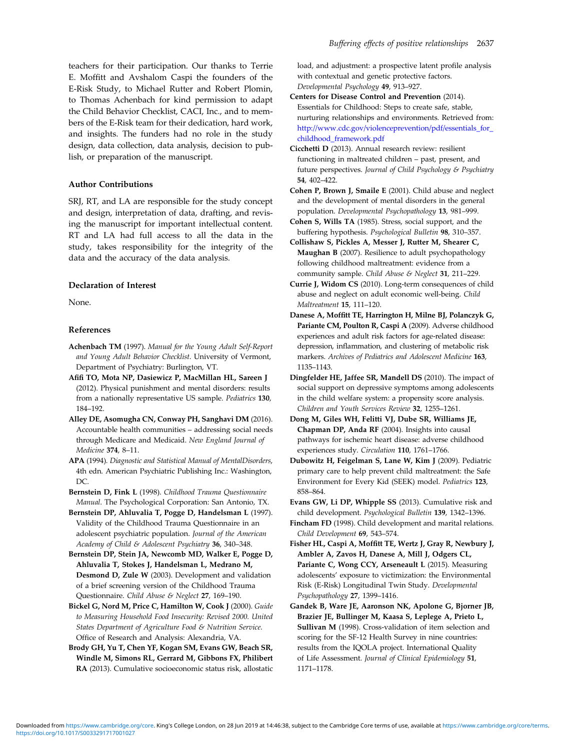<span id="page-9-0"></span>teachers for their participation. Our thanks to Terrie E. Moffitt and Avshalom Caspi the founders of the E-Risk Study, to Michael Rutter and Robert Plomin, to Thomas Achenbach for kind permission to adapt the Child Behavior Checklist, CACI, Inc., and to members of the E-Risk team for their dedication, hard work, and insights. The funders had no role in the study design, data collection, data analysis, decision to publish, or preparation of the manuscript.

#### Author Contributions

SRJ, RT, and LA are responsible for the study concept and design, interpretation of data, drafting, and revising the manuscript for important intellectual content. RT and LA had full access to all the data in the study, takes responsibility for the integrity of the data and the accuracy of the data analysis.

#### Declaration of Interest

None.

#### References

- Achenbach TM (1997). Manual for the Young Adult Self-Report and Young Adult Behavior Checklist. University of Vermont, Department of Psychiatry: Burlington, VT.
- Afifi TO, Mota NP, Dasiewicz P, MacMillan HL, Sareen J (2012). Physical punishment and mental disorders: results from a nationally representative US sample. Pediatrics 130, 184–192.
- Alley DE, Asomugha CN, Conway PH, Sanghavi DM (2016). Accountable health communities – addressing social needs through Medicare and Medicaid. New England Journal of Medicine 374, 8–11.
- APA (1994). Diagnostic and Statistical Manual of MentalDisorders, 4th edn. American Psychiatric Publishing Inc.: Washington,  $DC$ .
- Bernstein D, Fink L (1998). Childhood Trauma Questionnaire Manual. The Psychological Corporation: San Antonio, TX.
- Bernstein DP, Ahluvalia T, Pogge D, Handelsman L (1997). Validity of the Childhood Trauma Questionnaire in an adolescent psychiatric population. Journal of the American Academy of Child & Adolescent Psychiatry 36, 340–348.
- Bernstein DP, Stein JA, Newcomb MD, Walker E, Pogge D, Ahluvalia T, Stokes J, Handelsman L, Medrano M, Desmond D, Zule W (2003). Development and validation of a brief screening version of the Childhood Trauma Questionnaire. Child Abuse & Neglect 27, 169–190.
- Bickel G, Nord M, Price C, Hamilton W, Cook J (2000). Guide to Measuring Household Food Insecurity: Revised 2000. United States Department of Agriculture Food & Nutrition Service. Office of Research and Analysis: Alexandria, VA.
- Brody GH, Yu T, Chen YF, Kogan SM, Evans GW, Beach SR, Windle M, Simons RL, Gerrard M, Gibbons FX, Philibert RA (2013). Cumulative socioeconomic status risk, allostatic

load, and adjustment: a prospective latent profile analysis with contextual and genetic protective factors. Developmental Psychology 49, 913–927.

- Centers for Disease Control and Prevention (2014). Essentials for Childhood: Steps to create safe, stable, nurturing relationships and environments. Retrieved from: [http://www.cdc.gov/violenceprevention/pdf/essentials\\_for\\_](http://www.cdc.gov/violenceprevention/pdf/essentials_for_childhood_framework.pdf) [childhood\\_framework.pdf](http://www.cdc.gov/violenceprevention/pdf/essentials_for_childhood_framework.pdf)
- Cicchetti D (2013). Annual research review: resilient functioning in maltreated children – past, present, and future perspectives. Journal of Child Psychology & Psychiatry 54, 402–422.
- Cohen P, Brown J, Smaile E (2001). Child abuse and neglect and the development of mental disorders in the general population. Developmental Psychopathology 13, 981–999.
- Cohen S, Wills TA (1985). Stress, social support, and the buffering hypothesis. Psychological Bulletin 98, 310–357.
- Collishaw S, Pickles A, Messer J, Rutter M, Shearer C, Maughan B (2007). Resilience to adult psychopathology following childhood maltreatment: evidence from a community sample. Child Abuse & Neglect 31, 211–229.
- Currie J, Widom CS (2010). Long-term consequences of child abuse and neglect on adult economic well-being. Child Maltreatment 15, 111–120.
- Danese A, Moffitt TE, Harrington H, Milne BJ, Polanczyk G, Pariante CM, Poulton R, Caspi A (2009). Adverse childhood experiences and adult risk factors for age-related disease: depression, inflammation, and clustering of metabolic risk markers. Archives of Pediatrics and Adolescent Medicine 163, 1135–1143.
- Dingfelder HE, Jaffee SR, Mandell DS (2010). The impact of social support on depressive symptoms among adolescents in the child welfare system: a propensity score analysis. Children and Youth Services Review 32, 1255–1261.
- Dong M, Giles WH, Felitti VJ, Dube SR, Williams JE, Chapman DP, Anda RF (2004). Insights into causal pathways for ischemic heart disease: adverse childhood experiences study. Circulation 110, 1761–1766.
- Dubowitz H, Feigelman S, Lane W, Kim J (2009). Pediatric primary care to help prevent child maltreatment: the Safe Environment for Every Kid (SEEK) model. Pediatrics 123, 858–864.
- Evans GW, Li DP, Whipple SS (2013). Cumulative risk and child development. Psychological Bulletin 139, 1342–1396.
- Fincham FD (1998). Child development and marital relations. Child Development 69, 543–574.
- Fisher HL, Caspi A, Moffitt TE, Wertz J, Gray R, Newbury J, Ambler A, Zavos H, Danese A, Mill J, Odgers CL, Pariante C, Wong CCY, Arseneault L (2015). Measuring adolescents' exposure to victimization: the Environmental Risk (E-Risk) Longitudinal Twin Study. Developmental Psychopathology 27, 1399–1416.
- Gandek B, Ware JE, Aaronson NK, Apolone G, Bjorner JB, Brazier JE, Bullinger M, Kaasa S, Leplege A, Prieto L, Sullivan M (1998). Cross-validation of item selection and scoring for the SF-12 Health Survey in nine countries: results from the IQOLA project. International Quality of Life Assessment. Journal of Clinical Epidemiology 51, 1171–1178.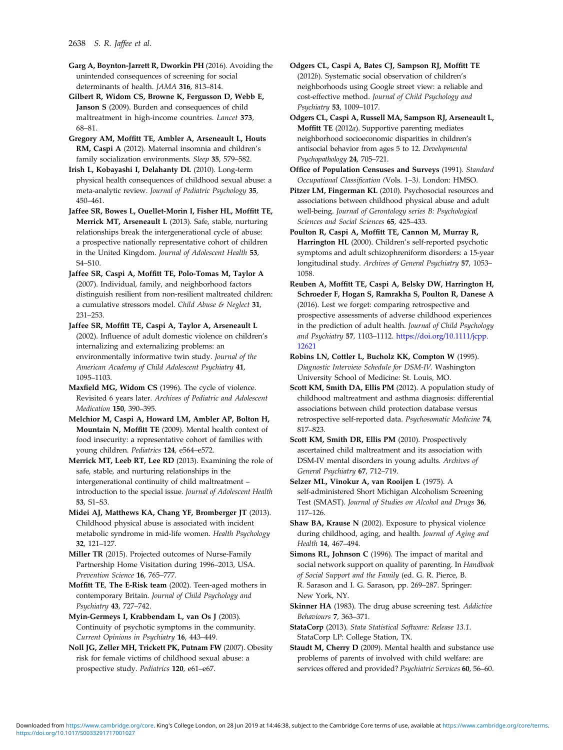<span id="page-10-0"></span>Garg A, Boynton-Jarrett R, Dworkin PH (2016). Avoiding the unintended consequences of screening for social determinants of health. JAMA 316, 813–814.

Gilbert R, Widom CS, Browne K, Fergusson D, Webb E, Janson S (2009). Burden and consequences of child maltreatment in high-income countries. Lancet 373, 68–81.

Gregory AM, Moffitt TE, Ambler A, Arseneault L, Houts RM, Caspi A (2012). Maternal insomnia and children's family socialization environments. Sleep 35, 579–582.

Irish L, Kobayashi I, Delahanty DL (2010). Long-term physical health consequences of childhood sexual abuse: a meta-analytic review. Journal of Pediatric Psychology 35, 450–461.

Jaffee SR, Bowes L, Ouellet-Morin I, Fisher HL, Moffitt TE, Merrick MT, Arseneault L (2013). Safe, stable, nurturing relationships break the intergenerational cycle of abuse: a prospective nationally representative cohort of children in the United Kingdom. Journal of Adolescent Health 53, S4–S10.

Jaffee SR, Caspi A, Moffitt TE, Polo-Tomas M, Taylor A (2007). Individual, family, and neighborhood factors distinguish resilient from non-resilient maltreated children: a cumulative stressors model. Child Abuse & Neglect 31, 231–253.

Jaffee SR, Moffitt TE, Caspi A, Taylor A, Arseneault L (2002). Influence of adult domestic violence on children's internalizing and externalizing problems: an environmentally informative twin study. Journal of the American Academy of Child Adolescent Psychiatry 41, 1095–1103.

Maxfield MG, Widom CS (1996). The cycle of violence. Revisited 6 years later. Archives of Pediatric and Adolescent Medication 150, 390–395.

Melchior M, Caspi A, Howard LM, Ambler AP, Bolton H, Mountain N, Moffitt TE (2009). Mental health context of food insecurity: a representative cohort of families with young children. Pediatrics 124, e564–e572.

Merrick MT, Leeb RT, Lee RD (2013). Examining the role of safe, stable, and nurturing relationships in the intergenerational continuity of child maltreatment – introduction to the special issue. Journal of Adolescent Health 53, S1–S3.

Midei AJ, Matthews KA, Chang YF, Bromberger JT (2013). Childhood physical abuse is associated with incident metabolic syndrome in mid-life women. Health Psychology 32, 121–127.

Miller TR (2015). Projected outcomes of Nurse-Family Partnership Home Visitation during 1996–2013, USA. Prevention Science 16, 765–777.

Moffitt TE, The E-Risk team (2002). Teen-aged mothers in contemporary Britain. Journal of Child Psychology and Psychiatry 43, 727–742.

Myin-Germeys I, Krabbendam L, van Os J (2003). Continuity of psychotic symptoms in the community. Current Opinions in Psychiatry 16, 443–449.

Noll JG, Zeller MH, Trickett PK, Putnam FW (2007). Obesity risk for female victims of childhood sexual abuse: a prospective study. Pediatrics 120, e61–e67.

Odgers CL, Caspi A, Bates CJ, Sampson RJ, Moffitt TE (2012b). Systematic social observation of children's neighborhoods using Google street view: a reliable and cost-effective method. Journal of Child Psychology and Psychiatry 53, 1009–1017.

Odgers CL, Caspi A, Russell MA, Sampson RJ, Arseneault L, Moffitt TE (2012a). Supportive parenting mediates neighborhood socioeconomic disparities in children's antisocial behavior from ages 5 to 12. Developmental Psychopathology 24, 705–721.

Office of Population Censuses and Surveys (1991). Standard Occupational Classification (Vols. 1–3). London: HMSO.

Pitzer LM, Fingerman KL (2010). Psychosocial resources and associations between childhood physical abuse and adult well-being. Journal of Gerontology series B: Psychological Sciences and Social Sciences 65, 425–433.

Poulton R, Caspi A, Moffitt TE, Cannon M, Murray R, Harrington HL (2000). Children's self-reported psychotic symptoms and adult schizophreniform disorders: a 15-year longitudinal study. Archives of General Psychiatry 57, 1053– 1058.

Reuben A, Moffitt TE, Caspi A, Belsky DW, Harrington H, Schroeder F, Hogan S, Ramrakha S, Poulton R, Danese A (2016). Lest we forget: comparing retrospective and prospective assessments of adverse childhood experiences in the prediction of adult health. Journal of Child Psychology and Psychiatry 57, 1103–1112. [https://doi.org/10.1111/jcpp.](https://doi.org/10.1111/jcpp.12621) [12621](https://doi.org/10.1111/jcpp.12621)

Robins LN, Cottler L, Bucholz KK, Compton W (1995). Diagnostic Interview Schedule for DSM-IV. Washington University School of Medicine: St. Louis, MO.

Scott KM, Smith DA, Ellis PM (2012). A population study of childhood maltreatment and asthma diagnosis: differential associations between child protection database versus retrospective self-reported data. Psychosomatic Medicine 74, 817–823.

Scott KM, Smith DR, Ellis PM (2010). Prospectively ascertained child maltreatment and its association with DSM-IV mental disorders in young adults. Archives of General Psychiatry 67, 712–719.

Selzer ML, Vinokur A, van Rooijen L (1975). A self-administered Short Michigan Alcoholism Screening Test (SMAST). Journal of Studies on Alcohol and Drugs 36, 117–126.

Shaw BA, Krause N (2002). Exposure to physical violence during childhood, aging, and health. Journal of Aging and Health 14, 467–494.

Simons RL, Johnson C (1996). The impact of marital and social network support on quality of parenting. In Handbook of Social Support and the Family (ed. G. R. Pierce, B. R. Sarason and I. G. Sarason, pp. 269–287. Springer: New York, NY.

Skinner HA (1983). The drug abuse screening test. Addictive Behaviours 7, 363–371.

StataCorp (2013). Stata Statistical Software: Release 13.1. StataCorp LP: College Station, TX.

Staudt M, Cherry D (2009). Mental health and substance use problems of parents of involved with child welfare: are services offered and provided? Psychiatric Services 60, 56–60.